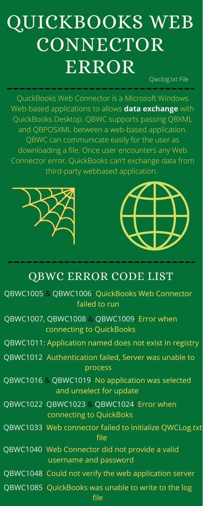QBWC1011: Application named does not exist in registry

## QUICKBOOKS WEB **CONNECTOR** ERROR

QuickBooks Web Connector is a Microsoft Windows Web-based applications to allows **data exchange** with QuickBooks Desktop. QBWC supports passing QBXML and QBPOSXML between a web-based application. QBWC can communicate easily for the user as downloading a file. Once user encounters any Web Connector error, QuickBooks can't exchange data from third-party webbased application.





## QBWC ERROR CODE LIST

QBWC1005 & QBWC1006: QuickBooks Web Connector failed to run

QBWC1085: QuickBooks was unable to write to the log file

QBWC1007, QBWC1008 & QBWC1009: Error when connecting to QuickBooks

QBWC1033: Web connector failed to initialize QWCLog.txt file

QBWC1016 & QBWC1019: No application was selected and unselect for update

Qwclog.txt File

QBWC1022, QBWC1023 & QBWC1024: Error when connecting to QuickBoks

QBWC1012: Authentication failed, Server was unable to process

QBWC1040: Web Connector did not provide a valid username and password

QBWC1048: Could not verify the web application server